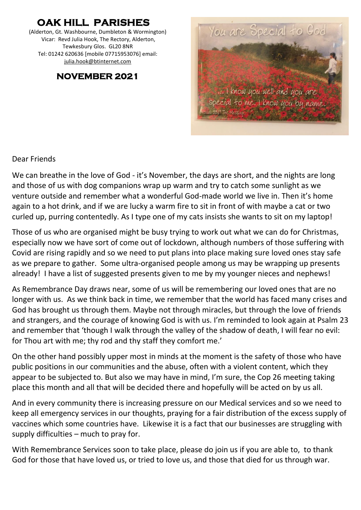# **OAK HILL PARISHES**

(Alderton, Gt. Washbourne, Dumbleton & Wormington) Vicar: Revd Julia Hook, The Rectory, Alderton, Tewkesbury Glos. GL20 8NR Tel: 01242 620636 [mobile 07715953076] email: [julia.hook@btinternet.com](mailto:julia.hook@btinternet.com)

### **NOVEMBER 2021**



#### Dear Friends

We can breathe in the love of God - it's November, the days are short, and the nights are long and those of us with dog companions wrap up warm and try to catch some sunlight as we venture outside and remember what a wonderful God-made world we live in. Then it's home again to a hot drink, and if we are lucky a warm fire to sit in front of with maybe a cat or two curled up, purring contentedly. As I type one of my cats insists she wants to sit on my laptop!

Those of us who are organised might be busy trying to work out what we can do for Christmas, especially now we have sort of come out of lockdown, although numbers of those suffering with Covid are rising rapidly and so we need to put plans into place making sure loved ones stay safe as we prepare to gather. Some ultra-organised people among us may be wrapping up presents already! I have a list of suggested presents given to me by my younger nieces and nephews!

As Remembrance Day draws near, some of us will be remembering our loved ones that are no longer with us. As we think back in time, we remember that the world has faced many crises and God has brought us through them. Maybe not through miracles, but through the love of friends and strangers, and the courage of knowing God is with us. I'm reminded to look again at Psalm 23 and remember that 'though I walk through the valley of the shadow of death, I will fear no evil: for Thou art with me; thy rod and thy staff they comfort me.'

On the other hand possibly upper most in minds at the moment is the safety of those who have public positions in our communities and the abuse, often with a violent content, which they appear to be subjected to. But also we may have in mind, I'm sure, the Cop 26 meeting taking place this month and all that will be decided there and hopefully will be acted on by us all.

And in every community there is increasing pressure on our Medical services and so we need to keep all emergency services in our thoughts, praying for a fair distribution of the excess supply of vaccines which some countries have. Likewise it is a fact that our businesses are struggling with supply difficulties – much to pray for.

With Remembrance Services soon to take place, please do join us if you are able to, to thank God for those that have loved us, or tried to love us, and those that died for us through war.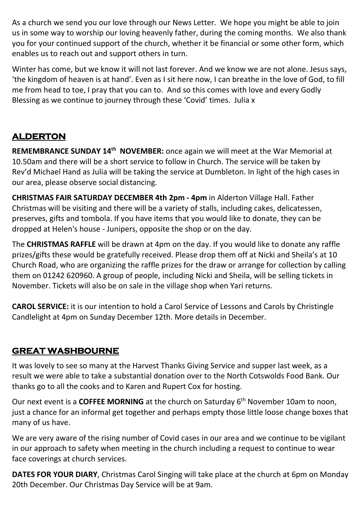As a church we send you our love through our News Letter. We hope you might be able to join us in some way to worship our loving heavenly father, during the coming months. We also thank you for your continued support of the church, whether it be financial or some other form, which enables us to reach out and support others in turn.

Winter has come, but we know it will not last forever. And we know we are not alone. Jesus says, 'the kingdom of heaven is at hand'. Even as I sit here now, I can breathe in the love of God, to fill me from head to toe, I pray that you can to. And so this comes with love and every Godly Blessing as we continue to journey through these 'Covid' times. Julia x

# **ALDERTON**

**REMEMBRANCE SUNDAY 14th NOVEMBER:** once again we will meet at the War Memorial at 10.50am and there will be a short service to follow in Church. The service will be taken by Rev'd Michael Hand as Julia will be taking the service at Dumbleton. In light of the high cases in our area, please observe social distancing.

**CHRISTMAS FAIR SATURDAY DECEMBER 4th 2pm - 4pm** in Alderton Village Hall. Father Christmas will be visiting and there will be a variety of stalls, including cakes, delicatessen, preserves, gifts and tombola. If you have items that you would like to donate, they can be dropped at Helen's house - Junipers, opposite the shop or on the day.

The **CHRISTMAS RAFFLE** will be drawn at 4pm on the day. If you would like to donate any raffle prizes/gifts these would be gratefully received. Please drop them off at Nicki and Sheila's at 10 Church Road, who are organizing the raffle prizes for the draw or arrange for collection by calling them on 01242 620960. A group of people, including Nicki and Sheila, will be selling tickets in November. Tickets will also be on sale in the village shop when Yari returns.

**CAROL SERVICE:** it is our intention to hold a Carol Service of Lessons and Carols by Christingle Candlelight at 4pm on Sunday December 12th. More details in December.

## **GREAT WASHBOURNE**

It was lovely to see so many at the Harvest Thanks Giving Service and supper last week, as a result we were able to take a substantial donation over to the North Cotswolds Food Bank. Our thanks go to all the cooks and to Karen and Rupert Cox for hosting.

Our next event is a COFFEE MORNING at the church on Saturday 6<sup>th</sup> November 10am to noon, just a chance for an informal get together and perhaps empty those little loose change boxes that many of us have.

We are very aware of the rising number of Covid cases in our area and we continue to be vigilant in our approach to safety when meeting in the church including a request to continue to wear face coverings at church services.

**DATES FOR YOUR DIARY**, Christmas Carol Singing will take place at the church at 6pm on Monday 20th December. Our Christmas Day Service will be at 9am.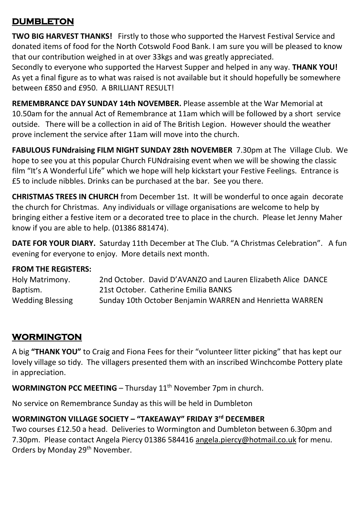## **DUMBLETON**

**TWO BIG HARVEST THANKS!** Firstly to those who supported the Harvest Festival Service and donated items of food for the North Cotswold Food Bank. I am sure you will be pleased to know that our contribution weighed in at over 33kgs and was greatly appreciated.

Secondly to everyone who supported the Harvest Supper and helped in any way. **THANK YOU!** As yet a final figure as to what was raised is not available but it should hopefully be somewhere between £850 and £950. A BRILLIANT RESULT!

**REMEMBRANCE DAY SUNDAY 14th NOVEMBER.** Please assemble at the War Memorial at 10.50am for the annual Act of Remembrance at 11am which will be followed by a short service outside. There will be a collection in aid of The British Legion. However should the weather prove inclement the service after 11am will move into the church.

**FABULOUS FUNdraising FILM NIGHT SUNDAY 28th NOVEMBER** 7.30pm at The Village Club. We hope to see you at this popular Church FUNdraising event when we will be showing the classic film "It's A Wonderful Life" which we hope will help kickstart your Festive Feelings. Entrance is £5 to include nibbles. Drinks can be purchased at the bar. See you there.

**CHRISTMAS TREES IN CHURCH** from December 1st. It will be wonderful to once again decorate the church for Christmas. Any individuals or village organisations are welcome to help by bringing either a festive item or a decorated tree to place in the church. Please let Jenny Maher know if you are able to help. (01386 881474).

**DATE FOR YOUR DIARY.** Saturday 11th December at The Club. "A Christmas Celebration". A fun evening for everyone to enjoy. More details next month.

#### **FROM THE REGISTERS:**

Holy Matrimony. 2nd October. David D'AVANZO and Lauren Elizabeth Alice DANCE Baptism. 21st October. Catherine Emilia BANKS Wedding Blessing Sunday 10th October Benjamin WARREN and Henrietta WARREN

# **WORMINGTON**

A big **"THANK YOU"** to Craig and Fiona Fees for their "volunteer litter picking" that has kept our lovely village so tidy. The villagers presented them with an inscribed Winchcombe Pottery plate in appreciation.

**WORMINGTON PCC MEETING** – Thursday 11<sup>th</sup> November 7pm in church.

No service on Remembrance Sunday as this will be held in Dumbleton

#### **WORMINGTON VILLAGE SOCIETY – "TAKEAWAY" FRIDAY 3 rd DECEMBER**

Two courses £12.50 a head. Deliveries to Wormington and Dumbleton between 6.30pm and 7.30pm. Please contact Angela Piercy 01386 584416 [angela.piercy@hotmail.co.uk](mailto:angela.piercy@hotmail.co.uk) for menu. Orders by Monday 29<sup>th</sup> November.